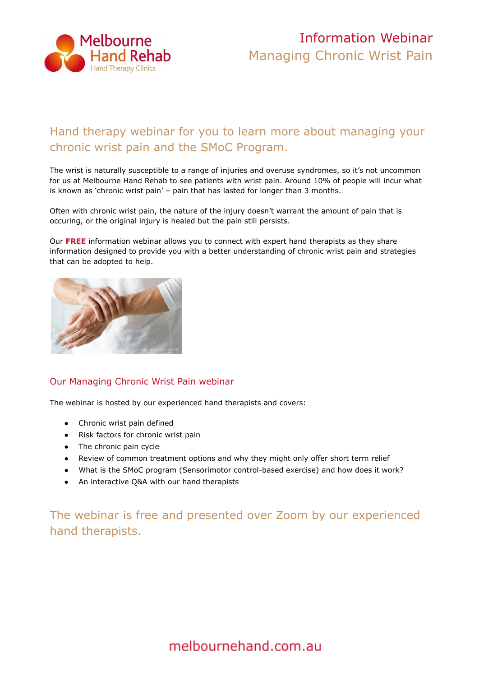

# Information Webinar Managing Chronic Wrist Pain

## Hand therapy webinar for you to learn more about managing your chronic wrist pain and the SMoC Program.

The wrist is naturally susceptible to a range of injuries and overuse syndromes, so it's not uncommon for us at Melbourne Hand Rehab to see patients with wrist pain. Around 10% of people will incur what is known as 'chronic wrist pain' – pain that has lasted for longer than 3 months.

Often with chronic wrist pain, the nature of the injury doesn't warrant the amount of pain that is occuring, or the original injury is healed but the pain still persists.

Our **[FREE](https://melbournehand.com.au/about-us/hand-therapy-webinars/)** information webinar allows you to connect with expert hand therapists as they share information designed to provide you with a better understanding of chronic wrist pain and strategies that can be adopted to help.



### Our Managing Chronic Wrist Pain webinar

The webinar is hosted by our experienced hand therapists and covers:

- Chronic wrist pain defined
- Risk factors for chronic wrist pain
- The chronic pain cycle
- Review of common treatment options and why they might only offer short term relief
- What is the SMoC program (Sensorimotor control-based exercise) and how does it work?
- An interactive Q&A with our hand therapists

The webinar is free and presented over Zoom by our experienced hand therapists.

## melbournehand.com.au